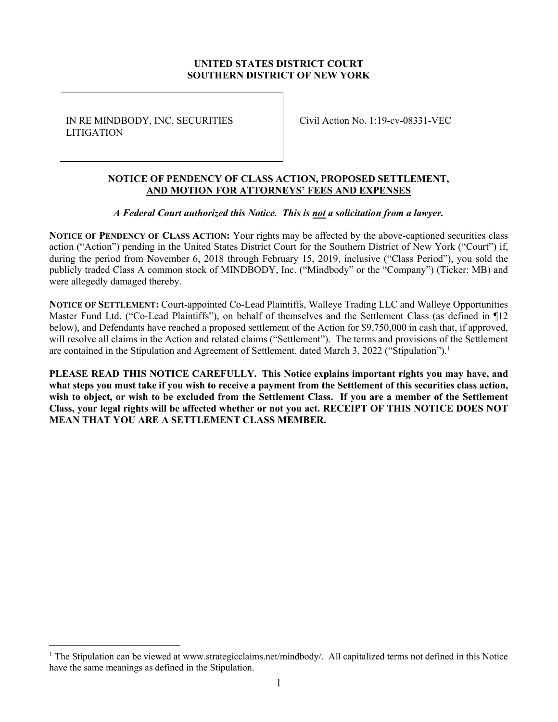# UNITED STATES DISTRICT COURT SOUTHERN DISTRICT OF NEW YORK

IN RE MINDBODY, INC. SECURITIES LITIGATION

Civil Action No. 1:19-cv-08331-VEC

## NOTICE OF PENDENCY OF CLASS ACTION, PROPOSED SETTLEMENT, AND MOTION FOR ATTORNEYS' FEES AND EXPENSES

## A Federal Court authorized this Notice. This is not a solicitation from a lawyer.

NOTICE OF PENDENCY OF CLASS ACTION: Your rights may be affected by the above-captioned securities class action ("Action") pending in the United States District Court for the Southern District of New York ("Court") if, during the period from November 6, 2018 through February 15, 2019, inclusive ("Class Period"), you sold the publicly traded Class A common stock of MINDBODY, Inc. ("Mindbody" or the "Company") (Ticker: MB) and were allegedly damaged thereby.

NOTICE OF SETTLEMENT: Court-appointed Co-Lead Plaintiffs, Walleye Trading LLC and Walleye Opportunities Master Fund Ltd. ("Co-Lead Plaintiffs"), on behalf of themselves and the Settlement Class (as defined in ¶12 below), and Defendants have reached a proposed settlement of the Action for \$9,750,000 in cash that, if approved, will resolve all claims in the Action and related claims ("Settlement"). The terms and provisions of the Settlement are contained in the Stipulation and Agreement of Settlement, dated March 3, 2022 ("Stipulation").<sup>1</sup>

PLEASE READ THIS NOTICE CAREFULLY. This Notice explains important rights you may have, and what steps you must take if you wish to receive a payment from the Settlement of this securities class action, wish to object, or wish to be excluded from the Settlement Class. If you are a member of the Settlement Class, your legal rights will be affected whether or not you act. RECEIPT OF THIS NOTICE DOES NOT MEAN THAT YOU ARE A SETTLEMENT CLASS MEMBER.

<sup>&</sup>lt;sup>1</sup> The Stipulation can be viewed at www.strategicclaims.net/mindbody/. All capitalized terms not defined in this Notice have the same meanings as defined in the Stipulation.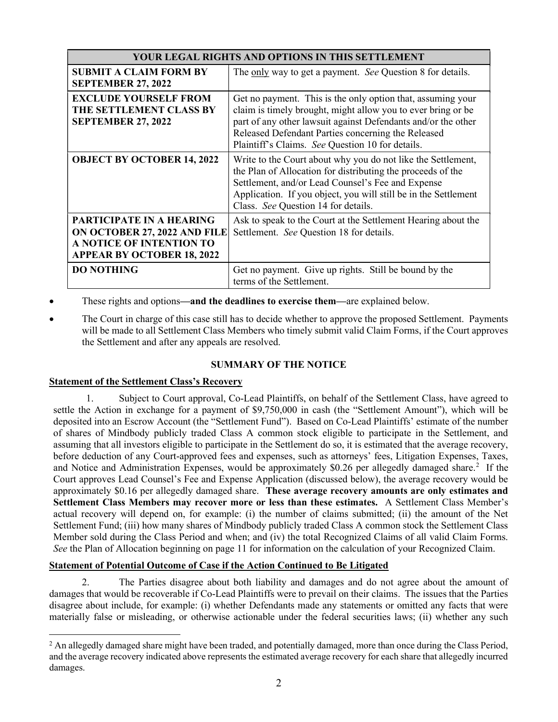| YOUR LEGAL RIGHTS AND OPTIONS IN THIS SETTLEMENT                                                                                 |                                                                                                                                                                                                                                                                                                        |  |  |  |
|----------------------------------------------------------------------------------------------------------------------------------|--------------------------------------------------------------------------------------------------------------------------------------------------------------------------------------------------------------------------------------------------------------------------------------------------------|--|--|--|
| <b>SUBMIT A CLAIM FORM BY</b><br><b>SEPTEMBER 27, 2022</b>                                                                       | The only way to get a payment. See Question 8 for details.                                                                                                                                                                                                                                             |  |  |  |
| <b>EXCLUDE YOURSELF FROM</b><br>THE SETTLEMENT CLASS BY<br><b>SEPTEMBER 27, 2022</b>                                             | Get no payment. This is the only option that, assuming your<br>claim is timely brought, might allow you to ever bring or be<br>part of any other lawsuit against Defendants and/or the other<br>Released Defendant Parties concerning the Released<br>Plaintiff's Claims. See Question 10 for details. |  |  |  |
| <b>OBJECT BY OCTOBER 14, 2022</b>                                                                                                | Write to the Court about why you do not like the Settlement,<br>the Plan of Allocation for distributing the proceeds of the<br>Settlement, and/or Lead Counsel's Fee and Expense<br>Application. If you object, you will still be in the Settlement<br>Class. See Question 14 for details.             |  |  |  |
| PARTICIPATE IN A HEARING<br>ON OCTOBER 27, 2022 AND FILE<br><b>A NOTICE OF INTENTION TO</b><br><b>APPEAR BY OCTOBER 18, 2022</b> | Ask to speak to the Court at the Settlement Hearing about the<br>Settlement. See Question 18 for details.                                                                                                                                                                                              |  |  |  |
| <b>DO NOTHING</b>                                                                                                                | Get no payment. Give up rights. Still be bound by the<br>terms of the Settlement.                                                                                                                                                                                                                      |  |  |  |

These rights and options—and the deadlines to exercise them—are explained below.

 The Court in charge of this case still has to decide whether to approve the proposed Settlement. Payments will be made to all Settlement Class Members who timely submit valid Claim Forms, if the Court approves the Settlement and after any appeals are resolved.

## SUMMARY OF THE NOTICE

## Statement of the Settlement Class's Recovery

1. Subject to Court approval, Co-Lead Plaintiffs, on behalf of the Settlement Class, have agreed to settle the Action in exchange for a payment of \$9,750,000 in cash (the "Settlement Amount"), which will be deposited into an Escrow Account (the "Settlement Fund"). Based on Co-Lead Plaintiffs' estimate of the number of shares of Mindbody publicly traded Class A common stock eligible to participate in the Settlement, and assuming that all investors eligible to participate in the Settlement do so, it is estimated that the average recovery, before deduction of any Court-approved fees and expenses, such as attorneys' fees, Litigation Expenses, Taxes, and Notice and Administration Expenses, would be approximately \$0.26 per allegedly damaged share.<sup>2</sup> If the Court approves Lead Counsel's Fee and Expense Application (discussed below), the average recovery would be approximately \$0.16 per allegedly damaged share. These average recovery amounts are only estimates and Settlement Class Members may recover more or less than these estimates. A Settlement Class Member's actual recovery will depend on, for example: (i) the number of claims submitted; (ii) the amount of the Net Settlement Fund; (iii) how many shares of Mindbody publicly traded Class A common stock the Settlement Class Member sold during the Class Period and when; and (iv) the total Recognized Claims of all valid Claim Forms. See the Plan of Allocation beginning on page 11 for information on the calculation of your Recognized Claim.

## Statement of Potential Outcome of Case if the Action Continued to Be Litigated

2. The Parties disagree about both liability and damages and do not agree about the amount of damages that would be recoverable if Co-Lead Plaintiffs were to prevail on their claims. The issues that the Parties disagree about include, for example: (i) whether Defendants made any statements or omitted any facts that were materially false or misleading, or otherwise actionable under the federal securities laws; (ii) whether any such

 $2$  An allegedly damaged share might have been traded, and potentially damaged, more than once during the Class Period, and the average recovery indicated above represents the estimated average recovery for each share that allegedly incurred damages.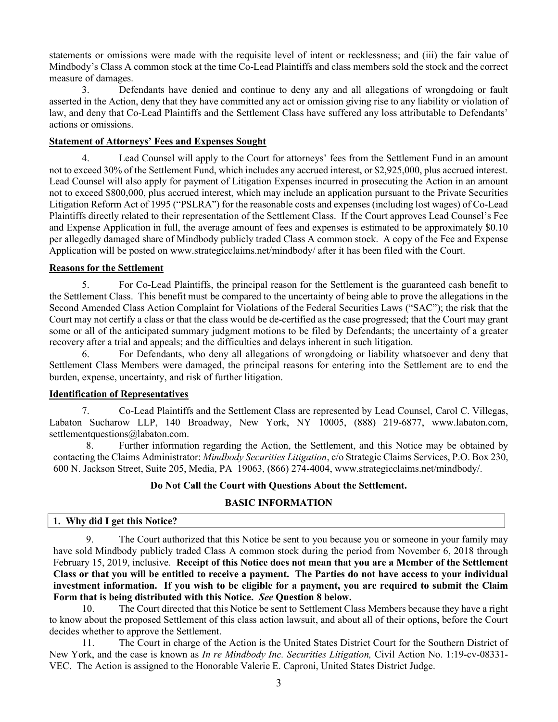statements or omissions were made with the requisite level of intent or recklessness; and (iii) the fair value of Mindbody's Class A common stock at the time Co-Lead Plaintiffs and class members sold the stock and the correct measure of damages.

3. Defendants have denied and continue to deny any and all allegations of wrongdoing or fault asserted in the Action, deny that they have committed any act or omission giving rise to any liability or violation of law, and deny that Co-Lead Plaintiffs and the Settlement Class have suffered any loss attributable to Defendants' actions or omissions.

#### Statement of Attorneys' Fees and Expenses Sought

4. Lead Counsel will apply to the Court for attorneys' fees from the Settlement Fund in an amount not to exceed 30% of the Settlement Fund, which includes any accrued interest, or \$2,925,000, plus accrued interest. Lead Counsel will also apply for payment of Litigation Expenses incurred in prosecuting the Action in an amount not to exceed \$800,000, plus accrued interest, which may include an application pursuant to the Private Securities Litigation Reform Act of 1995 ("PSLRA") for the reasonable costs and expenses (including lost wages) of Co-Lead Plaintiffs directly related to their representation of the Settlement Class. If the Court approves Lead Counsel's Fee and Expense Application in full, the average amount of fees and expenses is estimated to be approximately \$0.10 per allegedly damaged share of Mindbody publicly traded Class A common stock. A copy of the Fee and Expense Application will be posted on www.strategicclaims.net/mindbody/ after it has been filed with the Court.

#### Reasons for the Settlement

5. For Co-Lead Plaintiffs, the principal reason for the Settlement is the guaranteed cash benefit to the Settlement Class. This benefit must be compared to the uncertainty of being able to prove the allegations in the Second Amended Class Action Complaint for Violations of the Federal Securities Laws ("SAC"); the risk that the Court may not certify a class or that the class would be de-certified as the case progressed; that the Court may grant some or all of the anticipated summary judgment motions to be filed by Defendants; the uncertainty of a greater recovery after a trial and appeals; and the difficulties and delays inherent in such litigation.

6. For Defendants, who deny all allegations of wrongdoing or liability whatsoever and deny that Settlement Class Members were damaged, the principal reasons for entering into the Settlement are to end the burden, expense, uncertainty, and risk of further litigation.

# Identification of Representatives

7. Co-Lead Plaintiffs and the Settlement Class are represented by Lead Counsel, Carol C. Villegas, Labaton Sucharow LLP, 140 Broadway, New York, NY 10005, (888) 219-6877, www.labaton.com, settlementquestions@labaton.com.

8. Further information regarding the Action, the Settlement, and this Notice may be obtained by contacting the Claims Administrator: Mindbody Securities Litigation, c/o Strategic Claims Services, P.O. Box 230, 600 N. Jackson Street, Suite 205, Media, PA 19063, (866) 274-4004, www.strategicclaims.net/mindbody/.

#### Do Not Call the Court with Questions About the Settlement.

#### BASIC INFORMATION

#### 1. Why did I get this Notice?

9. The Court authorized that this Notice be sent to you because you or someone in your family may have sold Mindbody publicly traded Class A common stock during the period from November 6, 2018 through February 15, 2019, inclusive. Receipt of this Notice does not mean that you are a Member of the Settlement Class or that you will be entitled to receive a payment. The Parties do not have access to your individual investment information. If you wish to be eligible for a payment, you are required to submit the Claim Form that is being distributed with this Notice. See Question 8 below.

10. The Court directed that this Notice be sent to Settlement Class Members because they have a right to know about the proposed Settlement of this class action lawsuit, and about all of their options, before the Court decides whether to approve the Settlement.

11. The Court in charge of the Action is the United States District Court for the Southern District of New York, and the case is known as In re Mindbody Inc. Securities Litigation, Civil Action No. 1:19-cv-08331-VEC. The Action is assigned to the Honorable Valerie E. Caproni, United States District Judge.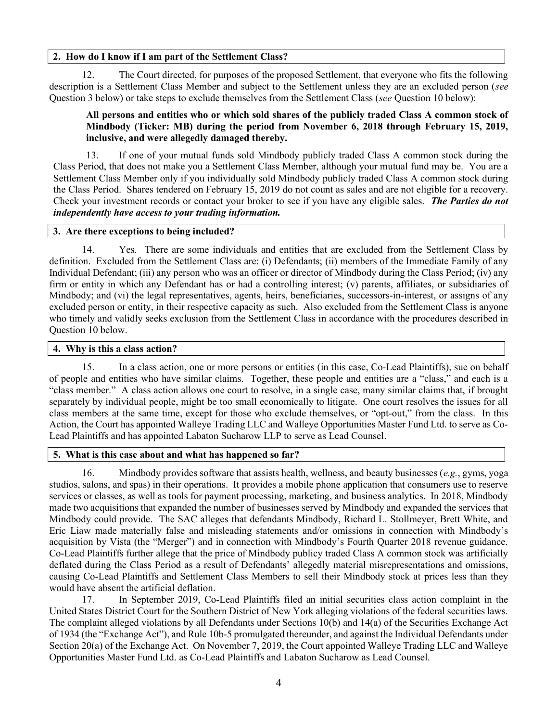#### 2. How do I know if I am part of the Settlement Class?

12. The Court directed, for purposes of the proposed Settlement, that everyone who fits the following description is a Settlement Class Member and subject to the Settlement unless they are an excluded person (see Question 3 below) or take steps to exclude themselves from the Settlement Class (see Question 10 below):

# All persons and entities who or which sold shares of the publicly traded Class A common stock of Mindbody (Ticker: MB) during the period from November 6, 2018 through February 15, 2019, inclusive, and were allegedly damaged thereby.

13. If one of your mutual funds sold Mindbody publicly traded Class A common stock during the Class Period, that does not make you a Settlement Class Member, although your mutual fund may be. You are a Settlement Class Member only if you individually sold Mindbody publicly traded Class A common stock during the Class Period. Shares tendered on February 15, 2019 do not count as sales and are not eligible for a recovery. Check your investment records or contact your broker to see if you have any eligible sales. The Parties do not independently have access to your trading information.

#### 3. Are there exceptions to being included?

14. Yes. There are some individuals and entities that are excluded from the Settlement Class by definition. Excluded from the Settlement Class are: (i) Defendants; (ii) members of the Immediate Family of any Individual Defendant; (iii) any person who was an officer or director of Mindbody during the Class Period; (iv) any firm or entity in which any Defendant has or had a controlling interest; (v) parents, affiliates, or subsidiaries of Mindbody; and (vi) the legal representatives, agents, heirs, beneficiaries, successors-in-interest, or assigns of any excluded person or entity, in their respective capacity as such. Also excluded from the Settlement Class is anyone who timely and validly seeks exclusion from the Settlement Class in accordance with the procedures described in Question 10 below.

#### 4. Why is this a class action?

15. In a class action, one or more persons or entities (in this case, Co-Lead Plaintiffs), sue on behalf of people and entities who have similar claims. Together, these people and entities are a "class," and each is a "class member." A class action allows one court to resolve, in a single case, many similar claims that, if brought separately by individual people, might be too small economically to litigate. One court resolves the issues for all class members at the same time, except for those who exclude themselves, or "opt-out," from the class. In this Action, the Court has appointed Walleye Trading LLC and Walleye Opportunities Master Fund Ltd. to serve as Co-Lead Plaintiffs and has appointed Labaton Sucharow LLP to serve as Lead Counsel.

#### 5. What is this case about and what has happened so far?

16. Mindbody provides software that assists health, wellness, and beauty businesses  $(e.g., gyms, voga)$ studios, salons, and spas) in their operations. It provides a mobile phone application that consumers use to reserve services or classes, as well as tools for payment processing, marketing, and business analytics. In 2018, Mindbody made two acquisitions that expanded the number of businesses served by Mindbody and expanded the services that Mindbody could provide. The SAC alleges that defendants Mindbody, Richard L. Stollmeyer, Brett White, and Eric Liaw made materially false and misleading statements and/or omissions in connection with Mindbody's acquisition by Vista (the "Merger") and in connection with Mindbody's Fourth Quarter 2018 revenue guidance. Co-Lead Plaintiffs further allege that the price of Mindbody publicy traded Class A common stock was artificially deflated during the Class Period as a result of Defendants' allegedly material misrepresentations and omissions, causing Co-Lead Plaintiffs and Settlement Class Members to sell their Mindbody stock at prices less than they would have absent the artificial deflation.

17. In September 2019, Co-Lead Plaintiffs filed an initial securities class action complaint in the United States District Court for the Southern District of New York alleging violations of the federal securities laws. The complaint alleged violations by all Defendants under Sections 10(b) and 14(a) of the Securities Exchange Act of 1934 (the "Exchange Act"), and Rule 10b-5 promulgated thereunder, and against the Individual Defendants under Section 20(a) of the Exchange Act. On November 7, 2019, the Court appointed Walleye Trading LLC and Walleye Opportunities Master Fund Ltd. as Co-Lead Plaintiffs and Labaton Sucharow as Lead Counsel.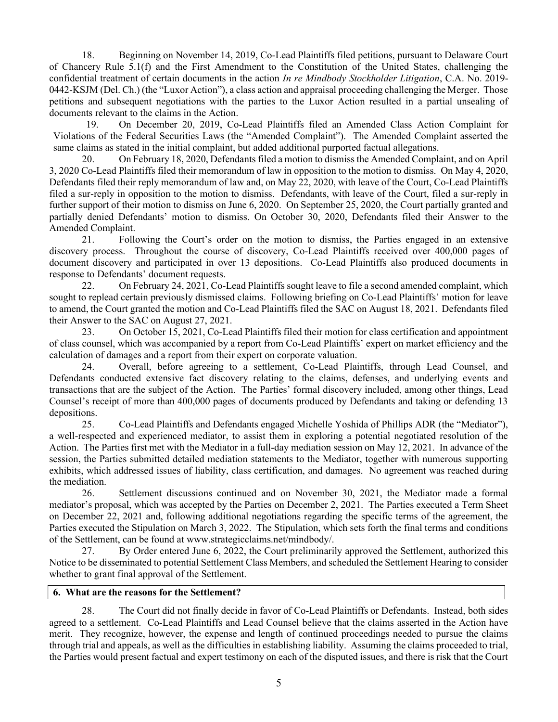18. Beginning on November 14, 2019, Co-Lead Plaintiffs filed petitions, pursuant to Delaware Court of Chancery Rule 5.1(f) and the First Amendment to the Constitution of the United States, challenging the confidential treatment of certain documents in the action In re Mindbody Stockholder Litigation, C.A. No. 2019-0442-KSJM (Del. Ch.) (the "Luxor Action"), a class action and appraisal proceeding challenging the Merger. Those petitions and subsequent negotiations with the parties to the Luxor Action resulted in a partial unsealing of documents relevant to the claims in the Action.

19. On December 20, 2019, Co-Lead Plaintiffs filed an Amended Class Action Complaint for Violations of the Federal Securities Laws (the "Amended Complaint"). The Amended Complaint asserted the same claims as stated in the initial complaint, but added additional purported factual allegations.

20. On February 18, 2020, Defendants filed a motion to dismiss the Amended Complaint, and on April 3, 2020 Co-Lead Plaintiffs filed their memorandum of law in opposition to the motion to dismiss. On May 4, 2020, Defendants filed their reply memorandum of law and, on May 22, 2020, with leave of the Court, Co-Lead Plaintiffs filed a sur-reply in opposition to the motion to dismiss. Defendants, with leave of the Court, filed a sur-reply in further support of their motion to dismiss on June 6, 2020. On September 25, 2020, the Court partially granted and partially denied Defendants' motion to dismiss. On October 30, 2020, Defendants filed their Answer to the Amended Complaint.

21. Following the Court's order on the motion to dismiss, the Parties engaged in an extensive discovery process. Throughout the course of discovery, Co-Lead Plaintiffs received over 400,000 pages of document discovery and participated in over 13 depositions. Co-Lead Plaintiffs also produced documents in response to Defendants' document requests.

22. On February 24, 2021, Co-Lead Plaintiffs sought leave to file a second amended complaint, which sought to replead certain previously dismissed claims. Following briefing on Co-Lead Plaintiffs' motion for leave to amend, the Court granted the motion and Co-Lead Plaintiffs filed the SAC on August 18, 2021. Defendants filed their Answer to the SAC on August 27, 2021.

23. On October 15, 2021, Co-Lead Plaintiffs filed their motion for class certification and appointment of class counsel, which was accompanied by a report from Co-Lead Plaintiffs' expert on market efficiency and the calculation of damages and a report from their expert on corporate valuation.

24. Overall, before agreeing to a settlement, Co-Lead Plaintiffs, through Lead Counsel, and Defendants conducted extensive fact discovery relating to the claims, defenses, and underlying events and transactions that are the subject of the Action. The Parties' formal discovery included, among other things, Lead Counsel's receipt of more than 400,000 pages of documents produced by Defendants and taking or defending 13 depositions.

25. Co-Lead Plaintiffs and Defendants engaged Michelle Yoshida of Phillips ADR (the "Mediator"), a well-respected and experienced mediator, to assist them in exploring a potential negotiated resolution of the Action. The Parties first met with the Mediator in a full-day mediation session on May 12, 2021. In advance of the session, the Parties submitted detailed mediation statements to the Mediator, together with numerous supporting exhibits, which addressed issues of liability, class certification, and damages. No agreement was reached during the mediation.

26. Settlement discussions continued and on November 30, 2021, the Mediator made a formal mediator's proposal, which was accepted by the Parties on December 2, 2021. The Parties executed a Term Sheet on December 22, 2021 and, following additional negotiations regarding the specific terms of the agreement, the Parties executed the Stipulation on March 3, 2022. The Stipulation, which sets forth the final terms and conditions of the Settlement, can be found at www.strategicclaims.net/mindbody/.

27. By Order entered June 6, 2022, the Court preliminarily approved the Settlement, authorized this Notice to be disseminated to potential Settlement Class Members, and scheduled the Settlement Hearing to consider whether to grant final approval of the Settlement.

#### 6. What are the reasons for the Settlement?

28. The Court did not finally decide in favor of Co-Lead Plaintiffs or Defendants. Instead, both sides agreed to a settlement. Co-Lead Plaintiffs and Lead Counsel believe that the claims asserted in the Action have merit. They recognize, however, the expense and length of continued proceedings needed to pursue the claims through trial and appeals, as well as the difficulties in establishing liability. Assuming the claims proceeded to trial, the Parties would present factual and expert testimony on each of the disputed issues, and there is risk that the Court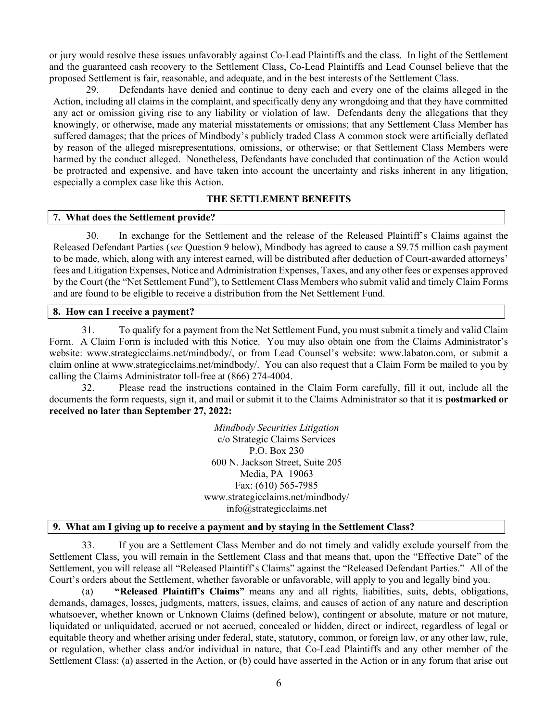or jury would resolve these issues unfavorably against Co-Lead Plaintiffs and the class. In light of the Settlement and the guaranteed cash recovery to the Settlement Class, Co-Lead Plaintiffs and Lead Counsel believe that the proposed Settlement is fair, reasonable, and adequate, and in the best interests of the Settlement Class.

29. Defendants have denied and continue to deny each and every one of the claims alleged in the Action, including all claims in the complaint, and specifically deny any wrongdoing and that they have committed any act or omission giving rise to any liability or violation of law. Defendants deny the allegations that they knowingly, or otherwise, made any material misstatements or omissions; that any Settlement Class Member has suffered damages; that the prices of Mindbody's publicly traded Class A common stock were artificially deflated by reason of the alleged misrepresentations, omissions, or otherwise; or that Settlement Class Members were harmed by the conduct alleged. Nonetheless, Defendants have concluded that continuation of the Action would be protracted and expensive, and have taken into account the uncertainty and risks inherent in any litigation, especially a complex case like this Action.

#### THE SETTLEMENT BENEFITS

#### 7. What does the Settlement provide?

30. In exchange for the Settlement and the release of the Released Plaintiff's Claims against the Released Defendant Parties (see Question 9 below), Mindbody has agreed to cause a \$9.75 million cash payment to be made, which, along with any interest earned, will be distributed after deduction of Court-awarded attorneys' fees and Litigation Expenses, Notice and Administration Expenses, Taxes, and any other fees or expenses approved by the Court (the "Net Settlement Fund"), to Settlement Class Members who submit valid and timely Claim Forms and are found to be eligible to receive a distribution from the Net Settlement Fund.

#### 8. How can I receive a payment?

31. To qualify for a payment from the Net Settlement Fund, you must submit a timely and valid Claim Form. A Claim Form is included with this Notice. You may also obtain one from the Claims Administrator's website: www.strategicclaims.net/mindbody/, or from Lead Counsel's website: www.labaton.com, or submit a claim online at www.strategicclaims.net/mindbody/. You can also request that a Claim Form be mailed to you by calling the Claims Administrator toll-free at (866) 274-4004.

32. Please read the instructions contained in the Claim Form carefully, fill it out, include all the documents the form requests, sign it, and mail or submit it to the Claims Administrator so that it is **postmarked or** received no later than September 27, 2022:

> Mindbody Securities Litigation c/o Strategic Claims Services P.O. Box 230 600 N. Jackson Street, Suite 205 Media, PA 19063 Fax: (610) 565-7985 www.strategicclaims.net/mindbody/ info@strategicclaims.net

## 9. What am I giving up to receive a payment and by staying in the Settlement Class?

33. If you are a Settlement Class Member and do not timely and validly exclude yourself from the Settlement Class, you will remain in the Settlement Class and that means that, upon the "Effective Date" of the Settlement, you will release all "Released Plaintiff's Claims" against the "Released Defendant Parties." All of the Court's orders about the Settlement, whether favorable or unfavorable, will apply to you and legally bind you.

(a) "Released Plaintiff's Claims" means any and all rights, liabilities, suits, debts, obligations, demands, damages, losses, judgments, matters, issues, claims, and causes of action of any nature and description whatsoever, whether known or Unknown Claims (defined below), contingent or absolute, mature or not mature, liquidated or unliquidated, accrued or not accrued, concealed or hidden, direct or indirect, regardless of legal or equitable theory and whether arising under federal, state, statutory, common, or foreign law, or any other law, rule, or regulation, whether class and/or individual in nature, that Co-Lead Plaintiffs and any other member of the Settlement Class: (a) asserted in the Action, or (b) could have asserted in the Action or in any forum that arise out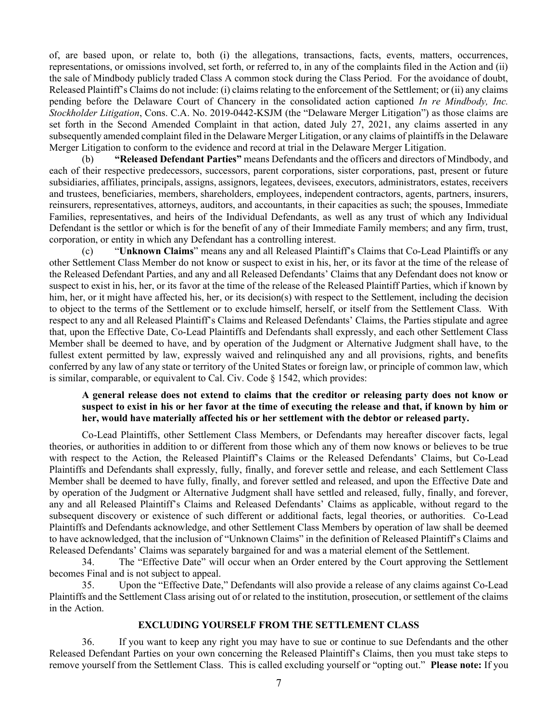of, are based upon, or relate to, both (i) the allegations, transactions, facts, events, matters, occurrences, representations, or omissions involved, set forth, or referred to, in any of the complaints filed in the Action and (ii) the sale of Mindbody publicly traded Class A common stock during the Class Period. For the avoidance of doubt, Released Plaintiff's Claims do not include: (i) claims relating to the enforcement of the Settlement; or (ii) any claims pending before the Delaware Court of Chancery in the consolidated action captioned In re Mindbody, Inc. Stockholder Litigation, Cons. C.A. No. 2019-0442-KSJM (the "Delaware Merger Litigation") as those claims are set forth in the Second Amended Complaint in that action, dated July 27, 2021, any claims asserted in any subsequently amended complaint filed in the Delaware Merger Litigation, or any claims of plaintiffs in the Delaware Merger Litigation to conform to the evidence and record at trial in the Delaware Merger Litigation.

(b) "Released Defendant Parties" means Defendants and the officers and directors of Mindbody, and each of their respective predecessors, successors, parent corporations, sister corporations, past, present or future subsidiaries, affiliates, principals, assigns, assignors, legatees, devisees, executors, administrators, estates, receivers and trustees, beneficiaries, members, shareholders, employees, independent contractors, agents, partners, insurers, reinsurers, representatives, attorneys, auditors, and accountants, in their capacities as such; the spouses, Immediate Families, representatives, and heirs of the Individual Defendants, as well as any trust of which any Individual Defendant is the settlor or which is for the benefit of any of their Immediate Family members; and any firm, trust, corporation, or entity in which any Defendant has a controlling interest.

(c) "Unknown Claims" means any and all Released Plaintiff's Claims that Co-Lead Plaintiffs or any other Settlement Class Member do not know or suspect to exist in his, her, or its favor at the time of the release of the Released Defendant Parties, and any and all Released Defendants' Claims that any Defendant does not know or suspect to exist in his, her, or its favor at the time of the release of the Released Plaintiff Parties, which if known by him, her, or it might have affected his, her, or its decision(s) with respect to the Settlement, including the decision to object to the terms of the Settlement or to exclude himself, herself, or itself from the Settlement Class. With respect to any and all Released Plaintiff's Claims and Released Defendants' Claims, the Parties stipulate and agree that, upon the Effective Date, Co-Lead Plaintiffs and Defendants shall expressly, and each other Settlement Class Member shall be deemed to have, and by operation of the Judgment or Alternative Judgment shall have, to the fullest extent permitted by law, expressly waived and relinquished any and all provisions, rights, and benefits conferred by any law of any state or territory of the United States or foreign law, or principle of common law, which is similar, comparable, or equivalent to Cal. Civ. Code § 1542, which provides:

# A general release does not extend to claims that the creditor or releasing party does not know or suspect to exist in his or her favor at the time of executing the release and that, if known by him or her, would have materially affected his or her settlement with the debtor or released party.

Co-Lead Plaintiffs, other Settlement Class Members, or Defendants may hereafter discover facts, legal theories, or authorities in addition to or different from those which any of them now knows or believes to be true with respect to the Action, the Released Plaintiff's Claims or the Released Defendants' Claims, but Co-Lead Plaintiffs and Defendants shall expressly, fully, finally, and forever settle and release, and each Settlement Class Member shall be deemed to have fully, finally, and forever settled and released, and upon the Effective Date and by operation of the Judgment or Alternative Judgment shall have settled and released, fully, finally, and forever, any and all Released Plaintiff's Claims and Released Defendants' Claims as applicable, without regard to the subsequent discovery or existence of such different or additional facts, legal theories, or authorities. Co-Lead Plaintiffs and Defendants acknowledge, and other Settlement Class Members by operation of law shall be deemed to have acknowledged, that the inclusion of "Unknown Claims" in the definition of Released Plaintiff's Claims and Released Defendants' Claims was separately bargained for and was a material element of the Settlement.

34. The "Effective Date" will occur when an Order entered by the Court approving the Settlement becomes Final and is not subject to appeal.

35. Upon the "Effective Date," Defendants will also provide a release of any claims against Co-Lead Plaintiffs and the Settlement Class arising out of or related to the institution, prosecution, or settlement of the claims in the Action.

## EXCLUDING YOURSELF FROM THE SETTLEMENT CLASS

36. If you want to keep any right you may have to sue or continue to sue Defendants and the other Released Defendant Parties on your own concerning the Released Plaintiff's Claims, then you must take steps to remove yourself from the Settlement Class. This is called excluding yourself or "opting out." Please note: If you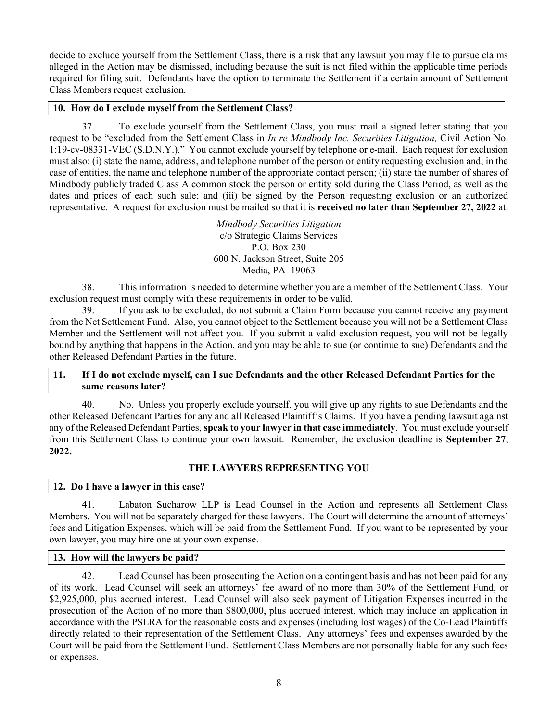decide to exclude yourself from the Settlement Class, there is a risk that any lawsuit you may file to pursue claims alleged in the Action may be dismissed, including because the suit is not filed within the applicable time periods required for filing suit. Defendants have the option to terminate the Settlement if a certain amount of Settlement Class Members request exclusion.

# 10. How do I exclude myself from the Settlement Class?

37. To exclude yourself from the Settlement Class, you must mail a signed letter stating that you request to be "excluded from the Settlement Class in *In re Mindbody Inc. Securities Litigation*, Civil Action No. 1:19-cv-08331-VEC (S.D.N.Y.)." You cannot exclude yourself by telephone or e-mail. Each request for exclusion must also: (i) state the name, address, and telephone number of the person or entity requesting exclusion and, in the case of entities, the name and telephone number of the appropriate contact person; (ii) state the number of shares of Mindbody publicly traded Class A common stock the person or entity sold during the Class Period, as well as the dates and prices of each such sale; and (iii) be signed by the Person requesting exclusion or an authorized representative. A request for exclusion must be mailed so that it is **received no later than September 27, 2022** at:

> Mindbody Securities Litigation c/o Strategic Claims Services P.O. Box 230 600 N. Jackson Street, Suite 205 Media, PA 19063

38. This information is needed to determine whether you are a member of the Settlement Class. Your exclusion request must comply with these requirements in order to be valid.

39. If you ask to be excluded, do not submit a Claim Form because you cannot receive any payment from the Net Settlement Fund. Also, you cannot object to the Settlement because you will not be a Settlement Class Member and the Settlement will not affect you. If you submit a valid exclusion request, you will not be legally bound by anything that happens in the Action, and you may be able to sue (or continue to sue) Defendants and the other Released Defendant Parties in the future.

## 11. If I do not exclude myself, can I sue Defendants and the other Released Defendant Parties for the same reasons later?

40. No. Unless you properly exclude yourself, you will give up any rights to sue Defendants and the other Released Defendant Parties for any and all Released Plaintiff's Claims. If you have a pending lawsuit against any of the Released Defendant Parties, speak to your lawyer in that case immediately. You must exclude yourself from this Settlement Class to continue your own lawsuit. Remember, the exclusion deadline is September 27, 2022.

# THE LAWYERS REPRESENTING YOU

## 12. Do I have a lawyer in this case?

41. Labaton Sucharow LLP is Lead Counsel in the Action and represents all Settlement Class Members. You will not be separately charged for these lawyers. The Court will determine the amount of attorneys' fees and Litigation Expenses, which will be paid from the Settlement Fund. If you want to be represented by your own lawyer, you may hire one at your own expense.

# 13. How will the lawyers be paid?

42. Lead Counsel has been prosecuting the Action on a contingent basis and has not been paid for any of its work. Lead Counsel will seek an attorneys' fee award of no more than 30% of the Settlement Fund, or \$2,925,000, plus accrued interest. Lead Counsel will also seek payment of Litigation Expenses incurred in the prosecution of the Action of no more than \$800,000, plus accrued interest, which may include an application in accordance with the PSLRA for the reasonable costs and expenses (including lost wages) of the Co-Lead Plaintiffs directly related to their representation of the Settlement Class. Any attorneys' fees and expenses awarded by the Court will be paid from the Settlement Fund. Settlement Class Members are not personally liable for any such fees or expenses.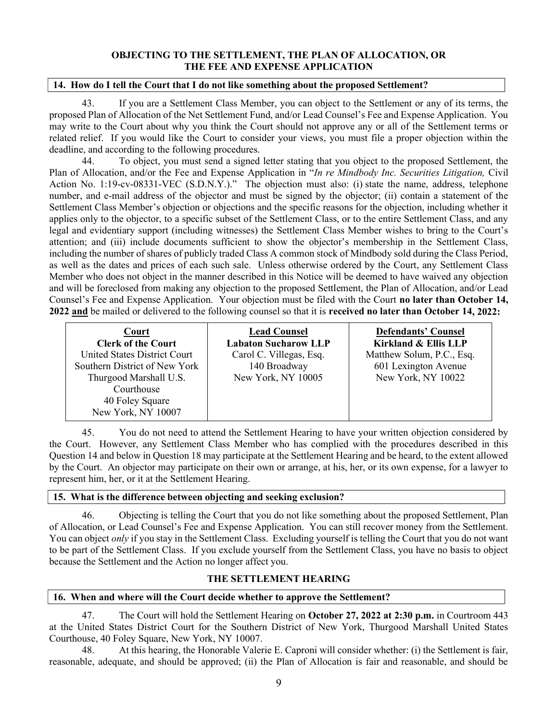## OBJECTING TO THE SETTLEMENT, THE PLAN OF ALLOCATION, OR THE FEE AND EXPENSE APPLICATION

## 14. How do I tell the Court that I do not like something about the proposed Settlement?

43. If you are a Settlement Class Member, you can object to the Settlement or any of its terms, the proposed Plan of Allocation of the Net Settlement Fund, and/or Lead Counsel's Fee and Expense Application. You may write to the Court about why you think the Court should not approve any or all of the Settlement terms or related relief. If you would like the Court to consider your views, you must file a proper objection within the deadline, and according to the following procedures.

44. To object, you must send a signed letter stating that you object to the proposed Settlement, the Plan of Allocation, and/or the Fee and Expense Application in "In re Mindbody Inc. Securities Litigation, Civil Action No. 1:19-cv-08331-VEC (S.D.N.Y.)." The objection must also: (i) state the name, address, telephone number, and e-mail address of the objector and must be signed by the objector; (ii) contain a statement of the Settlement Class Member's objection or objections and the specific reasons for the objection, including whether it applies only to the objector, to a specific subset of the Settlement Class, or to the entire Settlement Class, and any legal and evidentiary support (including witnesses) the Settlement Class Member wishes to bring to the Court's attention; and (iii) include documents sufficient to show the objector's membership in the Settlement Class, including the number of shares of publicly traded Class A common stock of Mindbody sold during the Class Period, as well as the dates and prices of each such sale. Unless otherwise ordered by the Court, any Settlement Class Member who does not object in the manner described in this Notice will be deemed to have waived any objection and will be foreclosed from making any objection to the proposed Settlement, the Plan of Allocation, and/or Lead Counsel's Fee and Expense Application. Your objection must be filed with the Court no later than October 14, 2022 and be mailed or delivered to the following counsel so that it is received no later than October 14, 2022:

| Court<br><b>Clerk of the Court</b><br>United States District Court<br>Southern District of New York<br>Thurgood Marshall U.S.<br>Courthouse<br>40 Foley Square | <b>Lead Counsel</b><br><b>Labaton Sucharow LLP</b><br>Carol C. Villegas, Esq.<br>140 Broadway<br>New York, NY 10005 | <b>Defendants' Counsel</b><br><b>Kirkland &amp; Ellis LLP</b><br>Matthew Solum, P.C., Esq.<br>601 Lexington Avenue<br>New York, NY 10022 |
|----------------------------------------------------------------------------------------------------------------------------------------------------------------|---------------------------------------------------------------------------------------------------------------------|------------------------------------------------------------------------------------------------------------------------------------------|
| New York, NY 10007                                                                                                                                             |                                                                                                                     |                                                                                                                                          |

45. You do not need to attend the Settlement Hearing to have your written objection considered by the Court. However, any Settlement Class Member who has complied with the procedures described in this Question 14 and below in Question 18 may participate at the Settlement Hearing and be heard, to the extent allowed by the Court. An objector may participate on their own or arrange, at his, her, or its own expense, for a lawyer to represent him, her, or it at the Settlement Hearing.

## 15. What is the difference between objecting and seeking exclusion?

46. Objecting is telling the Court that you do not like something about the proposed Settlement, Plan of Allocation, or Lead Counsel's Fee and Expense Application. You can still recover money from the Settlement. You can object *only* if you stay in the Settlement Class. Excluding yourself is telling the Court that you do not want to be part of the Settlement Class. If you exclude yourself from the Settlement Class, you have no basis to object because the Settlement and the Action no longer affect you.

## THE SETTLEMENT HEARING

#### 16. When and where will the Court decide whether to approve the Settlement?

47. The Court will hold the Settlement Hearing on October 27, 2022 at 2:30 p.m. in Courtroom 443 at the United States District Court for the Southern District of New York, Thurgood Marshall United States Courthouse, 40 Foley Square, New York, NY 10007.

48. At this hearing, the Honorable Valerie E. Caproni will consider whether: (i) the Settlement is fair, reasonable, adequate, and should be approved; (ii) the Plan of Allocation is fair and reasonable, and should be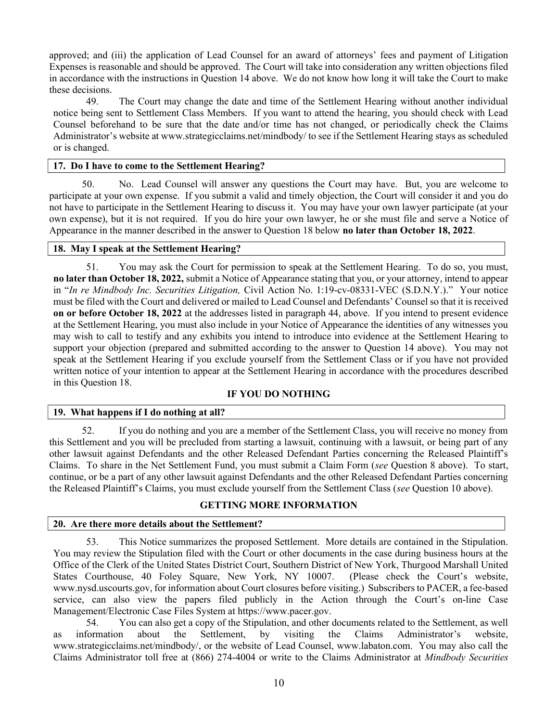approved; and (iii) the application of Lead Counsel for an award of attorneys' fees and payment of Litigation Expenses is reasonable and should be approved. The Court will take into consideration any written objections filed in accordance with the instructions in Question 14 above. We do not know how long it will take the Court to make these decisions.

49. The Court may change the date and time of the Settlement Hearing without another individual notice being sent to Settlement Class Members. If you want to attend the hearing, you should check with Lead Counsel beforehand to be sure that the date and/or time has not changed, or periodically check the Claims Administrator's website at www.strategicclaims.net/mindbody/ to see if the Settlement Hearing stays as scheduled or is changed.

#### 17. Do I have to come to the Settlement Hearing?

50. No. Lead Counsel will answer any questions the Court may have. But, you are welcome to participate at your own expense. If you submit a valid and timely objection, the Court will consider it and you do not have to participate in the Settlement Hearing to discuss it. You may have your own lawyer participate (at your own expense), but it is not required. If you do hire your own lawyer, he or she must file and serve a Notice of Appearance in the manner described in the answer to Question 18 below **no later than October 18, 2022**.

#### 18. May I speak at the Settlement Hearing?

51. You may ask the Court for permission to speak at the Settlement Hearing. To do so, you must, no later than October 18, 2022, submit a Notice of Appearance stating that you, or your attorney, intend to appear in "In re Mindbody Inc. Securities Litigation, Civil Action No. 1:19-cv-08331-VEC (S.D.N.Y.)." Your notice must be filed with the Court and delivered or mailed to Lead Counsel and Defendants' Counsel so that it is received on or before October 18, 2022 at the addresses listed in paragraph 44, above. If you intend to present evidence at the Settlement Hearing, you must also include in your Notice of Appearance the identities of any witnesses you may wish to call to testify and any exhibits you intend to introduce into evidence at the Settlement Hearing to support your objection (prepared and submitted according to the answer to Question 14 above). You may not speak at the Settlement Hearing if you exclude yourself from the Settlement Class or if you have not provided written notice of your intention to appear at the Settlement Hearing in accordance with the procedures described in this Question 18.

## IF YOU DO NOTHING

## 19. What happens if I do nothing at all?

52. If you do nothing and you are a member of the Settlement Class, you will receive no money from this Settlement and you will be precluded from starting a lawsuit, continuing with a lawsuit, or being part of any other lawsuit against Defendants and the other Released Defendant Parties concerning the Released Plaintiff's Claims. To share in the Net Settlement Fund, you must submit a Claim Form (see Question 8 above). To start, continue, or be a part of any other lawsuit against Defendants and the other Released Defendant Parties concerning the Released Plaintiff's Claims, you must exclude yourself from the Settlement Class (see Question 10 above).

## GETTING MORE INFORMATION

#### 20. Are there more details about the Settlement?

53. This Notice summarizes the proposed Settlement. More details are contained in the Stipulation. You may review the Stipulation filed with the Court or other documents in the case during business hours at the Office of the Clerk of the United States District Court, Southern District of New York, Thurgood Marshall United States Courthouse, 40 Foley Square, New York, NY 10007. (Please check the Court's website, www.nysd.uscourts.gov, for information about Court closures before visiting.) Subscribers to PACER, a fee-based service, can also view the papers filed publicly in the Action through the Court's on-line Case Management/Electronic Case Files System at https://www.pacer.gov.

54. You can also get a copy of the Stipulation, and other documents related to the Settlement, as well as information about the Settlement, by visiting the Claims Administrator's website, www.strategicclaims.net/mindbody/, or the website of Lead Counsel, www.labaton.com. You may also call the Claims Administrator toll free at (866) 274-4004 or write to the Claims Administrator at Mindbody Securities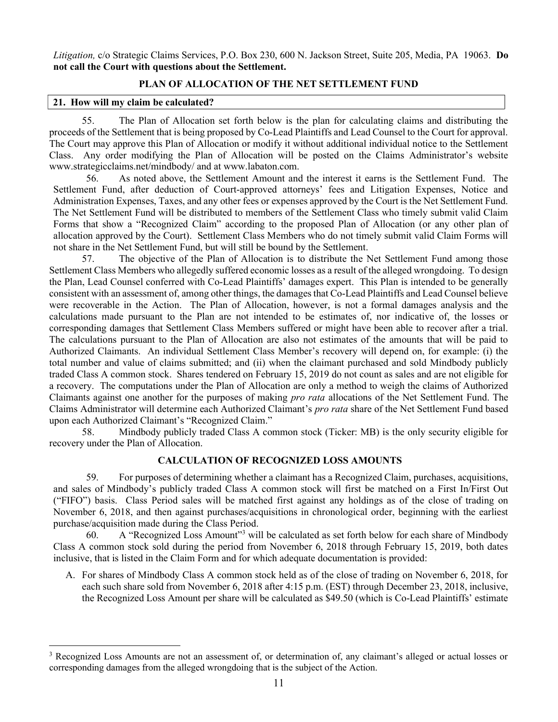Litigation, c/o Strategic Claims Services, P.O. Box 230, 600 N. Jackson Street, Suite 205, Media, PA 19063. Do not call the Court with questions about the Settlement.

#### PLAN OF ALLOCATION OF THE NET SETTLEMENT FUND

#### 21. How will my claim be calculated?

55. The Plan of Allocation set forth below is the plan for calculating claims and distributing the proceeds of the Settlement that is being proposed by Co-Lead Plaintiffs and Lead Counsel to the Court for approval. The Court may approve this Plan of Allocation or modify it without additional individual notice to the Settlement Class. Any order modifying the Plan of Allocation will be posted on the Claims Administrator's website www.strategicclaims.net/mindbody/ and at www.labaton.com.

56. As noted above, the Settlement Amount and the interest it earns is the Settlement Fund. The Settlement Fund, after deduction of Court-approved attorneys' fees and Litigation Expenses, Notice and Administration Expenses, Taxes, and any other fees or expenses approved by the Court is the Net Settlement Fund. The Net Settlement Fund will be distributed to members of the Settlement Class who timely submit valid Claim Forms that show a "Recognized Claim" according to the proposed Plan of Allocation (or any other plan of allocation approved by the Court). Settlement Class Members who do not timely submit valid Claim Forms will not share in the Net Settlement Fund, but will still be bound by the Settlement.

57. The objective of the Plan of Allocation is to distribute the Net Settlement Fund among those Settlement Class Members who allegedly suffered economic losses as a result of the alleged wrongdoing. To design the Plan, Lead Counsel conferred with Co-Lead Plaintiffs' damages expert. This Plan is intended to be generally consistent with an assessment of, among other things, the damages that Co-Lead Plaintiffs and Lead Counsel believe were recoverable in the Action. The Plan of Allocation, however, is not a formal damages analysis and the calculations made pursuant to the Plan are not intended to be estimates of, nor indicative of, the losses or corresponding damages that Settlement Class Members suffered or might have been able to recover after a trial. The calculations pursuant to the Plan of Allocation are also not estimates of the amounts that will be paid to Authorized Claimants. An individual Settlement Class Member's recovery will depend on, for example: (i) the total number and value of claims submitted; and (ii) when the claimant purchased and sold Mindbody publicly traded Class A common stock. Shares tendered on February 15, 2019 do not count as sales and are not eligible for a recovery. The computations under the Plan of Allocation are only a method to weigh the claims of Authorized Claimants against one another for the purposes of making pro rata allocations of the Net Settlement Fund. The Claims Administrator will determine each Authorized Claimant's pro rata share of the Net Settlement Fund based upon each Authorized Claimant's "Recognized Claim."

58. Mindbody publicly traded Class A common stock (Ticker: MB) is the only security eligible for recovery under the Plan of Allocation.

#### CALCULATION OF RECOGNIZED LOSS AMOUNTS

59. For purposes of determining whether a claimant has a Recognized Claim, purchases, acquisitions, and sales of Mindbody's publicly traded Class A common stock will first be matched on a First In/First Out ("FIFO") basis. Class Period sales will be matched first against any holdings as of the close of trading on November 6, 2018, and then against purchases/acquisitions in chronological order, beginning with the earliest purchase/acquisition made during the Class Period.

60. A "Recognized Loss Amount"<sup>3</sup> will be calculated as set forth below for each share of Mindbody Class A common stock sold during the period from November 6, 2018 through February 15, 2019, both dates inclusive, that is listed in the Claim Form and for which adequate documentation is provided:

A. For shares of Mindbody Class A common stock held as of the close of trading on November 6, 2018, for each such share sold from November 6, 2018 after 4:15 p.m. (EST) through December 23, 2018, inclusive, the Recognized Loss Amount per share will be calculated as \$49.50 (which is Co-Lead Plaintiffs' estimate

<sup>&</sup>lt;sup>3</sup> Recognized Loss Amounts are not an assessment of, or determination of, any claimant's alleged or actual losses or corresponding damages from the alleged wrongdoing that is the subject of the Action.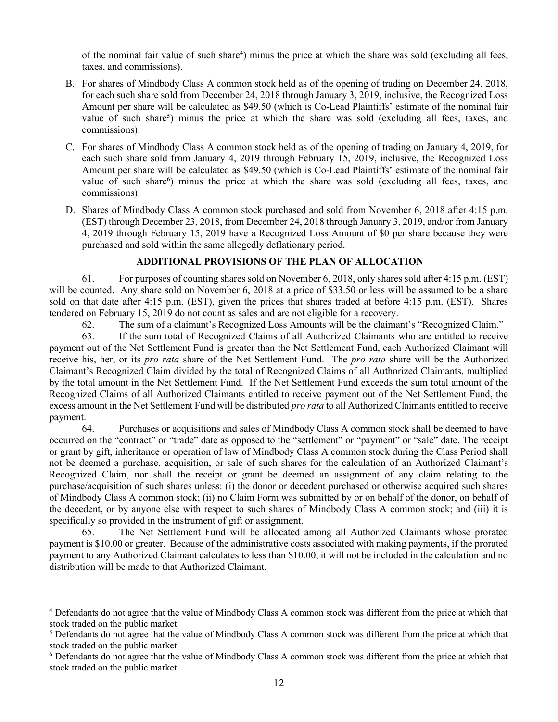of the nominal fair value of such share<sup>4</sup>) minus the price at which the share was sold (excluding all fees, taxes, and commissions).

- B. For shares of Mindbody Class A common stock held as of the opening of trading on December 24, 2018, for each such share sold from December 24, 2018 through January 3, 2019, inclusive, the Recognized Loss Amount per share will be calculated as \$49.50 (which is Co-Lead Plaintiffs' estimate of the nominal fair value of such share<sup>5</sup>) minus the price at which the share was sold (excluding all fees, taxes, and commissions).
- C. For shares of Mindbody Class A common stock held as of the opening of trading on January 4, 2019, for each such share sold from January 4, 2019 through February 15, 2019, inclusive, the Recognized Loss Amount per share will be calculated as \$49.50 (which is Co-Lead Plaintiffs' estimate of the nominal fair value of such share<sup>6</sup>) minus the price at which the share was sold (excluding all fees, taxes, and commissions).
- D. Shares of Mindbody Class A common stock purchased and sold from November 6, 2018 after 4:15 p.m. (EST) through December 23, 2018, from December 24, 2018 through January 3, 2019, and/or from January 4, 2019 through February 15, 2019 have a Recognized Loss Amount of \$0 per share because they were purchased and sold within the same allegedly deflationary period.

#### ADDITIONAL PROVISIONS OF THE PLAN OF ALLOCATION

61. For purposes of counting shares sold on November 6, 2018, only shares sold after 4:15 p.m. (EST) will be counted. Any share sold on November 6, 2018 at a price of \$33.50 or less will be assumed to be a share sold on that date after 4:15 p.m. (EST), given the prices that shares traded at before 4:15 p.m. (EST). Shares tendered on February 15, 2019 do not count as sales and are not eligible for a recovery.

62. The sum of a claimant's Recognized Loss Amounts will be the claimant's "Recognized Claim."

63. If the sum total of Recognized Claims of all Authorized Claimants who are entitled to receive payment out of the Net Settlement Fund is greater than the Net Settlement Fund, each Authorized Claimant will receive his, her, or its *pro rata* share of the Net Settlement Fund. The *pro rata* share will be the Authorized Claimant's Recognized Claim divided by the total of Recognized Claims of all Authorized Claimants, multiplied by the total amount in the Net Settlement Fund. If the Net Settlement Fund exceeds the sum total amount of the Recognized Claims of all Authorized Claimants entitled to receive payment out of the Net Settlement Fund, the excess amount in the Net Settlement Fund will be distributed *pro rata* to all Authorized Claimants entitled to receive payment.

64. Purchases or acquisitions and sales of Mindbody Class A common stock shall be deemed to have occurred on the "contract" or "trade" date as opposed to the "settlement" or "payment" or "sale" date. The receipt or grant by gift, inheritance or operation of law of Mindbody Class A common stock during the Class Period shall not be deemed a purchase, acquisition, or sale of such shares for the calculation of an Authorized Claimant's Recognized Claim, nor shall the receipt or grant be deemed an assignment of any claim relating to the purchase/acquisition of such shares unless: (i) the donor or decedent purchased or otherwise acquired such shares of Mindbody Class A common stock; (ii) no Claim Form was submitted by or on behalf of the donor, on behalf of the decedent, or by anyone else with respect to such shares of Mindbody Class A common stock; and (iii) it is specifically so provided in the instrument of gift or assignment.

65. The Net Settlement Fund will be allocated among all Authorized Claimants whose prorated payment is \$10.00 or greater. Because of the administrative costs associated with making payments, if the prorated payment to any Authorized Claimant calculates to less than \$10.00, it will not be included in the calculation and no distribution will be made to that Authorized Claimant.

<sup>&</sup>lt;sup>4</sup> Defendants do not agree that the value of Mindbody Class A common stock was different from the price at which that stock traded on the public market.

<sup>&</sup>lt;sup>5</sup> Defendants do not agree that the value of Mindbody Class A common stock was different from the price at which that stock traded on the public market.

<sup>&</sup>lt;sup>6</sup> Defendants do not agree that the value of Mindbody Class A common stock was different from the price at which that stock traded on the public market.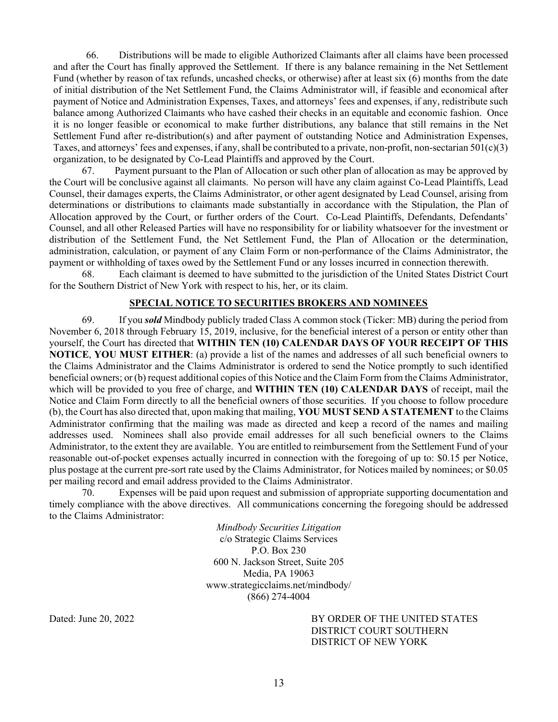66. Distributions will be made to eligible Authorized Claimants after all claims have been processed and after the Court has finally approved the Settlement. If there is any balance remaining in the Net Settlement Fund (whether by reason of tax refunds, uncashed checks, or otherwise) after at least six (6) months from the date of initial distribution of the Net Settlement Fund, the Claims Administrator will, if feasible and economical after payment of Notice and Administration Expenses, Taxes, and attorneys' fees and expenses, if any, redistribute such balance among Authorized Claimants who have cashed their checks in an equitable and economic fashion. Once it is no longer feasible or economical to make further distributions, any balance that still remains in the Net Settlement Fund after re-distribution(s) and after payment of outstanding Notice and Administration Expenses, Taxes, and attorneys' fees and expenses, if any, shall be contributed to a private, non-profit, non-sectarian  $501(c)(3)$ organization, to be designated by Co-Lead Plaintiffs and approved by the Court.

67. Payment pursuant to the Plan of Allocation or such other plan of allocation as may be approved by the Court will be conclusive against all claimants. No person will have any claim against Co-Lead Plaintiffs, Lead Counsel, their damages experts, the Claims Administrator, or other agent designated by Lead Counsel, arising from determinations or distributions to claimants made substantially in accordance with the Stipulation, the Plan of Allocation approved by the Court, or further orders of the Court. Co-Lead Plaintiffs, Defendants, Defendants' Counsel, and all other Released Parties will have no responsibility for or liability whatsoever for the investment or distribution of the Settlement Fund, the Net Settlement Fund, the Plan of Allocation or the determination, administration, calculation, or payment of any Claim Form or non-performance of the Claims Administrator, the payment or withholding of taxes owed by the Settlement Fund or any losses incurred in connection therewith.

68. Each claimant is deemed to have submitted to the jurisdiction of the United States District Court for the Southern District of New York with respect to his, her, or its claim.

## SPECIAL NOTICE TO SECURITIES BROKERS AND NOMINEES

69. If you **sold** Mindbody publicly traded Class A common stock (Ticker: MB) during the period from November 6, 2018 through February 15, 2019, inclusive, for the beneficial interest of a person or entity other than yourself, the Court has directed that WITHIN TEN (10) CALENDAR DAYS OF YOUR RECEIPT OF THIS NOTICE, YOU MUST EITHER: (a) provide a list of the names and addresses of all such beneficial owners to the Claims Administrator and the Claims Administrator is ordered to send the Notice promptly to such identified beneficial owners; or (b) request additional copies of this Notice and the Claim Form from the Claims Administrator, which will be provided to you free of charge, and **WITHIN TEN (10) CALENDAR DAYS** of receipt, mail the Notice and Claim Form directly to all the beneficial owners of those securities. If you choose to follow procedure (b), the Court has also directed that, upon making that mailing, YOU MUST SEND A STATEMENT to the Claims Administrator confirming that the mailing was made as directed and keep a record of the names and mailing addresses used. Nominees shall also provide email addresses for all such beneficial owners to the Claims Administrator, to the extent they are available. You are entitled to reimbursement from the Settlement Fund of your reasonable out-of-pocket expenses actually incurred in connection with the foregoing of up to: \$0.15 per Notice, plus postage at the current pre-sort rate used by the Claims Administrator, for Notices mailed by nominees; or \$0.05 per mailing record and email address provided to the Claims Administrator.

70. Expenses will be paid upon request and submission of appropriate supporting documentation and timely compliance with the above directives. All communications concerning the foregoing should be addressed to the Claims Administrator:

> Mindbody Securities Litigation c/o Strategic Claims Services P.O. Box 230 600 N. Jackson Street, Suite 205 Media, PA 19063 www.strategicclaims.net/mindbody/ (866) 274-4004

Dated: June 20, 2022 BY ORDER OF THE UNITED STATES DISTRICT COURT SOUTHERN DISTRICT OF NEW YORK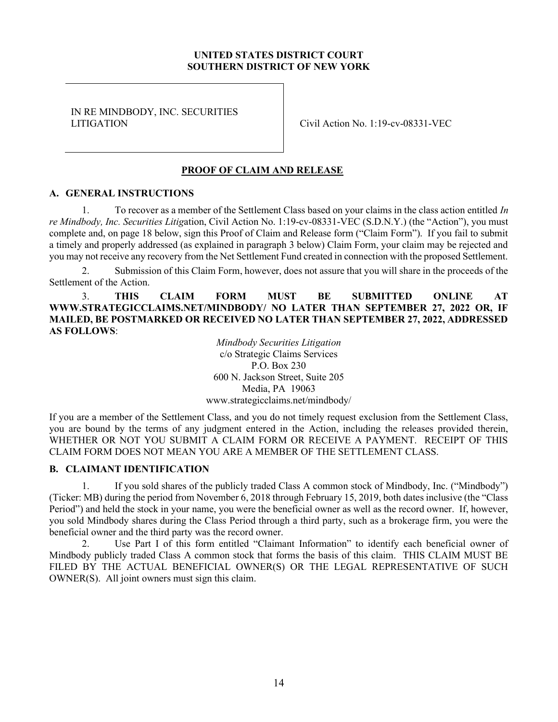## UNITED STATES DISTRICT COURT SOUTHERN DISTRICT OF NEW YORK

IN RE MINDBODY, INC. SECURITIES LITIGATION Civil Action No. 1:19-cv-08331-VEC

# PROOF OF CLAIM AND RELEASE

#### A. GENERAL INSTRUCTIONS

1. To recover as a member of the Settlement Class based on your claims in the class action entitled In re Mindbody, Inc. Securities Litigation, Civil Action No. 1:19-cv-08331-VEC (S.D.N.Y.) (the "Action"), you must complete and, on page 18 below, sign this Proof of Claim and Release form ("Claim Form"). If you fail to submit a timely and properly addressed (as explained in paragraph 3 below) Claim Form, your claim may be rejected and you may not receive any recovery from the Net Settlement Fund created in connection with the proposed Settlement.

2. Submission of this Claim Form, however, does not assure that you will share in the proceeds of the Settlement of the Action.

3. THIS CLAIM FORM MUST BE SUBMITTED ONLINE AT WWW.STRATEGICCLAIMS.NET/MINDBODY/ NO LATER THAN SEPTEMBER 27, 2022 OR, IF MAILED, BE POSTMARKED OR RECEIVED NO LATER THAN SEPTEMBER 27, 2022, ADDRESSED AS FOLLOWS:

> Mindbody Securities Litigation c/o Strategic Claims Services P.O. Box 230 600 N. Jackson Street, Suite 205 Media, PA 19063 www.strategicclaims.net/mindbody/

If you are a member of the Settlement Class, and you do not timely request exclusion from the Settlement Class, you are bound by the terms of any judgment entered in the Action, including the releases provided therein, WHETHER OR NOT YOU SUBMIT A CLAIM FORM OR RECEIVE A PAYMENT. RECEIPT OF THIS CLAIM FORM DOES NOT MEAN YOU ARE A MEMBER OF THE SETTLEMENT CLASS.

#### B. CLAIMANT IDENTIFICATION

1. If you sold shares of the publicly traded Class A common stock of Mindbody, Inc. ("Mindbody") (Ticker: MB) during the period from November 6, 2018 through February 15, 2019, both dates inclusive (the "Class Period") and held the stock in your name, you were the beneficial owner as well as the record owner. If, however, you sold Mindbody shares during the Class Period through a third party, such as a brokerage firm, you were the beneficial owner and the third party was the record owner.

2. Use Part I of this form entitled "Claimant Information" to identify each beneficial owner of Mindbody publicly traded Class A common stock that forms the basis of this claim. THIS CLAIM MUST BE FILED BY THE ACTUAL BENEFICIAL OWNER(S) OR THE LEGAL REPRESENTATIVE OF SUCH OWNER(S). All joint owners must sign this claim.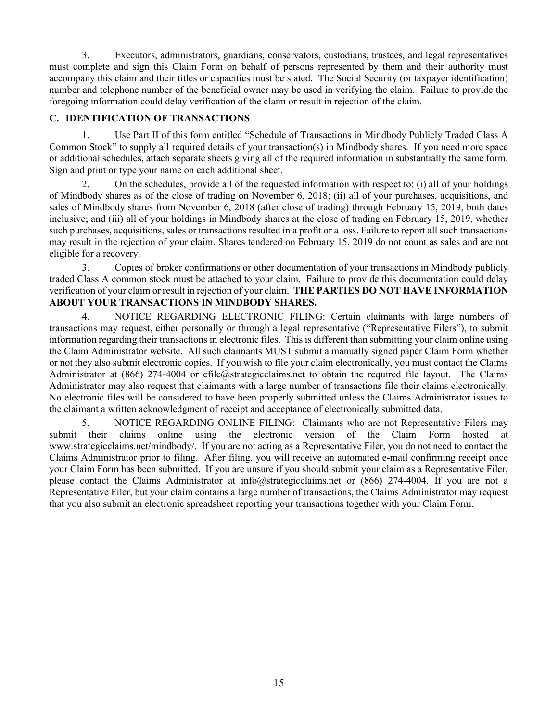3. Executors, administrators, guardians, conservators, custodians, trustees, and legal representatives must complete and sign this Claim Form on behalf of persons represented by them and their authority must accompany this claim and their titles or capacities must be stated. The Social Security (or taxpayer identification) number and telephone number of the beneficial owner may be used in verifying the claim. Failure to provide the foregoing information could delay verification of the claim or result in rejection of the claim.

# C. IDENTIFICATION OF TRANSACTIONS

1. Use Part II of this form entitled "Schedule of Transactions in Mindbody Publicly Traded Class A Common Stock" to supply all required details of your transaction(s) in Mindbody shares. If you need more space or additional schedules, attach separate sheets giving all of the required information in substantially the same form. Sign and print or type your name on each additional sheet.

2. On the schedules, provide all of the requested information with respect to: (i) all of your holdings of Mindbody shares as of the close of trading on November 6, 2018; (ii) all of your purchases, acquisitions, and sales of Mindbody shares from November 6, 2018 (after close of trading) through February 15, 2019, both dates inclusive; and (iii) all of your holdings in Mindbody shares at the close of trading on February 15, 2019, whether such purchases, acquisitions, sales or transactions resulted in a profit or a loss. Failure to report all such transactions may result in the rejection of your claim. Shares tendered on February 15, 2019 do not count as sales and are not eligible for a recovery.

3. Copies of broker confirmations or other documentation of your transactions in Mindbody publicly traded Class A common stock must be attached to your claim. Failure to provide this documentation could delay verification of your claim or result in rejection of your claim. THE PARTIES DO NOT HAVE INFORMATION ABOUT YOUR TRANSACTIONS IN MINDBODY SHARES.

4. NOTICE REGARDING ELECTRONIC FILING: Certain claimants with large numbers of transactions may request, either personally or through a legal representative ("Representative Filers"), to submit information regarding their transactions in electronic files. This is different than submitting your claim online using the Claim Administrator website. All such claimants MUST submit a manually signed paper Claim Form whether or not they also submit electronic copies. If you wish to file your claim electronically, you must contact the Claims Administrator at (866) 274-4004 or efile@strategicclaims.net to obtain the required file layout. The Claims Administrator may also request that claimants with a large number of transactions file their claims electronically. No electronic files will be considered to have been properly submitted unless the Claims Administrator issues to the claimant a written acknowledgment of receipt and acceptance of electronically submitted data.

5. NOTICE REGARDING ONLINE FILING: Claimants who are not Representative Filers may submit their claims online using the electronic version of the Claim Form hosted at www.strategicclaims.net/mindbody/. If you are not acting as a Representative Filer, you do not need to contact the Claims Administrator prior to filing. After filing, you will receive an automated e-mail confirming receipt once your Claim Form has been submitted. If you are unsure if you should submit your claim as a Representative Filer, please contact the Claims Administrator at info@strategicclaims.net or (866) 274-4004. If you are not a Representative Filer, but your claim contains a large number of transactions, the Claims Administrator may request that you also submit an electronic spreadsheet reporting your transactions together with your Claim Form.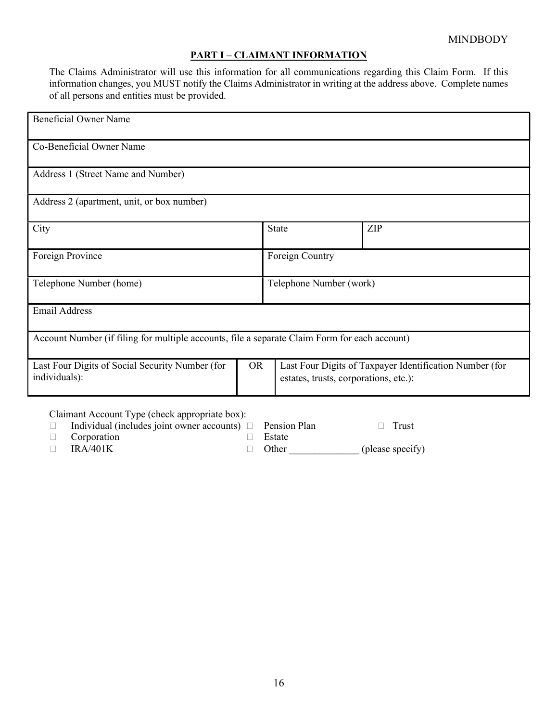# PART I – CLAIMANT INFORMATION

The Claims Administrator will use this information for all communications regarding this Claim Form. If this information changes, you MUST notify the Claims Administrator in writing at the address above. Complete names of all persons and entities must be provided.

| <b>Beneficial Owner Name</b>                                                                  |  |                                                                                                  |     |  |  |
|-----------------------------------------------------------------------------------------------|--|--------------------------------------------------------------------------------------------------|-----|--|--|
| Co-Beneficial Owner Name                                                                      |  |                                                                                                  |     |  |  |
| Address 1 (Street Name and Number)                                                            |  |                                                                                                  |     |  |  |
| Address 2 (apartment, unit, or box number)                                                    |  |                                                                                                  |     |  |  |
| City                                                                                          |  | <b>State</b>                                                                                     | ZIP |  |  |
| Foreign Province                                                                              |  | Foreign Country                                                                                  |     |  |  |
| Telephone Number (home)                                                                       |  | Telephone Number (work)                                                                          |     |  |  |
| <b>Email Address</b>                                                                          |  |                                                                                                  |     |  |  |
| Account Number (if filing for multiple accounts, file a separate Claim Form for each account) |  |                                                                                                  |     |  |  |
| <b>OR</b><br>Last Four Digits of Social Security Number (for<br>individuals):                 |  | Last Four Digits of Taxpayer Identification Number (for<br>estates, trusts, corporations, etc.): |     |  |  |

Claimant Account Type (check appropriate box):

| $\Box$ Individual (includes joint owner accounts) $\Box$ Pension Plan |               | $\Box$ Trust     |
|-----------------------------------------------------------------------|---------------|------------------|
| $\Box$ Corporation                                                    | $\Box$ Estate |                  |
| $\Box$ IRA/401K                                                       | $\Box$ Other  | (please specify) |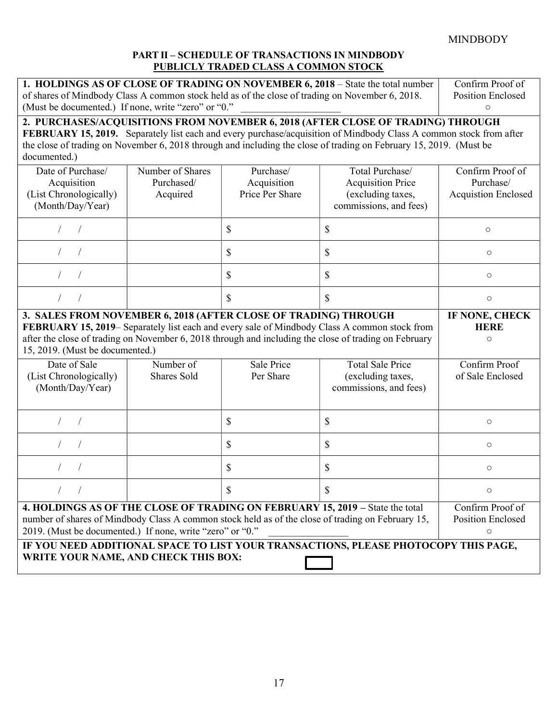# PART II – SCHEDULE OF TRANSACTIONS IN MINDBODY PUBLICLY TRADED CLASS A COMMON STOCK

| 1. HOLDINGS AS OF CLOSE OF TRADING ON NOVEMBER 6, 2018 – State the total number                 | Confirm Proof of         |
|-------------------------------------------------------------------------------------------------|--------------------------|
| of shares of Mindbody Class A common stock held as of the close of trading on November 6, 2018. | <b>Position Enclosed</b> |
| (Must be documented.) If none, write "zero" or "0."                                             |                          |
|                                                                                                 |                          |

# 2. PURCHASES/ACQUISITIONS FROM NOVEMBER 6, 2018 (AFTER CLOSE OF TRADING) THROUGH

FEBRUARY 15, 2019. Separately list each and every purchase/acquisition of Mindbody Class A common stock from after the close of trading on November 6, 2018 through and including the close of trading on February 15, 2019. (Must be documented.)

| Date of Purchase/<br>Acquisition<br>(List Chronologically)<br>(Month/Day/Year)                                                                                                                                                                  | Number of Shares<br>Purchased/<br>Acquired | Purchase/<br>Acquisition<br>Price Per Share | Total Purchase/<br><b>Acquisition Price</b><br>(excluding taxes,<br>commissions, and fees)            | Confirm Proof of<br>Purchase/<br><b>Acquistion Enclosed</b> |
|-------------------------------------------------------------------------------------------------------------------------------------------------------------------------------------------------------------------------------------------------|--------------------------------------------|---------------------------------------------|-------------------------------------------------------------------------------------------------------|-------------------------------------------------------------|
|                                                                                                                                                                                                                                                 |                                            | \$                                          | \$                                                                                                    | $\circ$                                                     |
|                                                                                                                                                                                                                                                 |                                            | \$                                          | \$                                                                                                    | $\circ$                                                     |
|                                                                                                                                                                                                                                                 |                                            | \$                                          | \$                                                                                                    | $\circ$                                                     |
|                                                                                                                                                                                                                                                 |                                            | $\mathcal{S}$                               | $\mathcal{S}$                                                                                         | $\circ$                                                     |
| 3. SALES FROM NOVEMBER 6, 2018 (AFTER CLOSE OF TRADING) THROUGH                                                                                                                                                                                 |                                            |                                             |                                                                                                       | IF NONE, CHECK                                              |
|                                                                                                                                                                                                                                                 |                                            |                                             | FEBRUARY 15, 2019– Separately list each and every sale of Mindbody Class A common stock from          | <b>HERE</b>                                                 |
|                                                                                                                                                                                                                                                 |                                            |                                             | after the close of trading on November 6, 2018 through and including the close of trading on February | $\circ$                                                     |
| 15, 2019. (Must be documented.)                                                                                                                                                                                                                 |                                            |                                             |                                                                                                       |                                                             |
| Date of Sale                                                                                                                                                                                                                                    | Number of                                  | Sale Price                                  | <b>Total Sale Price</b>                                                                               | Confirm Proof                                               |
| (List Chronologically)<br>(Month/Day/Year)                                                                                                                                                                                                      | <b>Shares Sold</b>                         | Per Share                                   | (excluding taxes,<br>commissions, and fees)                                                           | of Sale Enclosed                                            |
|                                                                                                                                                                                                                                                 |                                            | \$                                          | \$                                                                                                    | $\circ$                                                     |
|                                                                                                                                                                                                                                                 |                                            | \$                                          | \$                                                                                                    | $\circ$                                                     |
|                                                                                                                                                                                                                                                 |                                            | \$                                          | \$                                                                                                    | $\circ$                                                     |
| $\sqrt{2}$                                                                                                                                                                                                                                      |                                            | $\mathbb{S}$                                | $\mathbb{S}$                                                                                          | $\circ$                                                     |
| 4. HOLDINGS AS OF THE CLOSE OF TRADING ON FEBRUARY 15, 2019 - State the total<br>number of shares of Mindbody Class A common stock held as of the close of trading on February 15,<br>2019. (Must be documented.) If none, write "zero" or "0." |                                            |                                             |                                                                                                       | Confirm Proof of<br><b>Position Enclosed</b><br>$\circ$     |
| IF YOU NEED ADDITIONAL SPACE TO LIST YOUR TRANSACTIONS, PLEASE PHOTOCOPY THIS PAGE,<br>WRITE YOUR NAME, AND CHECK THIS BOX:                                                                                                                     |                                            |                                             |                                                                                                       |                                                             |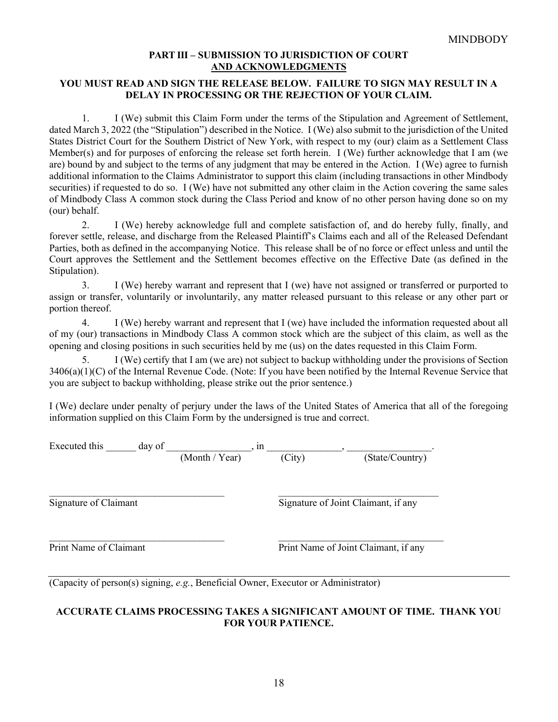# PART III – SUBMISSION TO JURISDICTION OF COURT AND ACKNOWLEDGMENTS

# YOU MUST READ AND SIGN THE RELEASE BELOW. FAILURE TO SIGN MAY RESULT IN A DELAY IN PROCESSING OR THE REJECTION OF YOUR CLAIM.

1. I (We) submit this Claim Form under the terms of the Stipulation and Agreement of Settlement, dated March 3, 2022 (the "Stipulation") described in the Notice. I (We) also submit to the jurisdiction of the United States District Court for the Southern District of New York, with respect to my (our) claim as a Settlement Class Member(s) and for purposes of enforcing the release set forth herein. I (We) further acknowledge that I am (we are) bound by and subject to the terms of any judgment that may be entered in the Action. I (We) agree to furnish additional information to the Claims Administrator to support this claim (including transactions in other Mindbody securities) if requested to do so. I (We) have not submitted any other claim in the Action covering the same sales of Mindbody Class A common stock during the Class Period and know of no other person having done so on my (our) behalf.

2. I (We) hereby acknowledge full and complete satisfaction of, and do hereby fully, finally, and forever settle, release, and discharge from the Released Plaintiff's Claims each and all of the Released Defendant Parties, both as defined in the accompanying Notice. This release shall be of no force or effect unless and until the Court approves the Settlement and the Settlement becomes effective on the Effective Date (as defined in the Stipulation).

3. I (We) hereby warrant and represent that I (we) have not assigned or transferred or purported to assign or transfer, voluntarily or involuntarily, any matter released pursuant to this release or any other part or portion thereof.

4. I (We) hereby warrant and represent that I (we) have included the information requested about all of my (our) transactions in Mindbody Class A common stock which are the subject of this claim, as well as the opening and closing positions in such securities held by me (us) on the dates requested in this Claim Form.

5. I (We) certify that I am (we are) not subject to backup withholding under the provisions of Section 3406(a)(1)(C) of the Internal Revenue Code. (Note: If you have been notified by the Internal Revenue Service that you are subject to backup withholding, please strike out the prior sentence.)

I (We) declare under penalty of perjury under the laws of the United States of America that all of the foregoing information supplied on this Claim Form by the undersigned is true and correct.

| Executed this | dav of |                   | ın     |                 |  |
|---------------|--------|-------------------|--------|-----------------|--|
|               |        | Month /<br>'Year) | (City) | (State/Country) |  |

 $\mathcal{L}_\text{max} = \mathcal{L}_\text{max} = \mathcal{L}_\text{max} = \mathcal{L}_\text{max} = \mathcal{L}_\text{max} = \mathcal{L}_\text{max} = \mathcal{L}_\text{max} = \mathcal{L}_\text{max} = \mathcal{L}_\text{max} = \mathcal{L}_\text{max} = \mathcal{L}_\text{max} = \mathcal{L}_\text{max} = \mathcal{L}_\text{max} = \mathcal{L}_\text{max} = \mathcal{L}_\text{max} = \mathcal{L}_\text{max} = \mathcal{L}_\text{max} = \mathcal{L}_\text{max} = \mathcal{$ 

 $\mathcal{L}_\text{max} = \mathcal{L}_\text{max} = \mathcal{L}_\text{max} = \mathcal{L}_\text{max} = \mathcal{L}_\text{max} = \mathcal{L}_\text{max} = \mathcal{L}_\text{max} = \mathcal{L}_\text{max} = \mathcal{L}_\text{max} = \mathcal{L}_\text{max} = \mathcal{L}_\text{max} = \mathcal{L}_\text{max} = \mathcal{L}_\text{max} = \mathcal{L}_\text{max} = \mathcal{L}_\text{max} = \mathcal{L}_\text{max} = \mathcal{L}_\text{max} = \mathcal{L}_\text{max} = \mathcal{$ Signature of Claimant Signature of Joint Claimant, if any

Print Name of Claimant Print Name of Joint Claimant, if any

(Capacity of person(s) signing, e.g., Beneficial Owner, Executor or Administrator)

# ACCURATE CLAIMS PROCESSING TAKES A SIGNIFICANT AMOUNT OF TIME. THANK YOU FOR YOUR PATIENCE.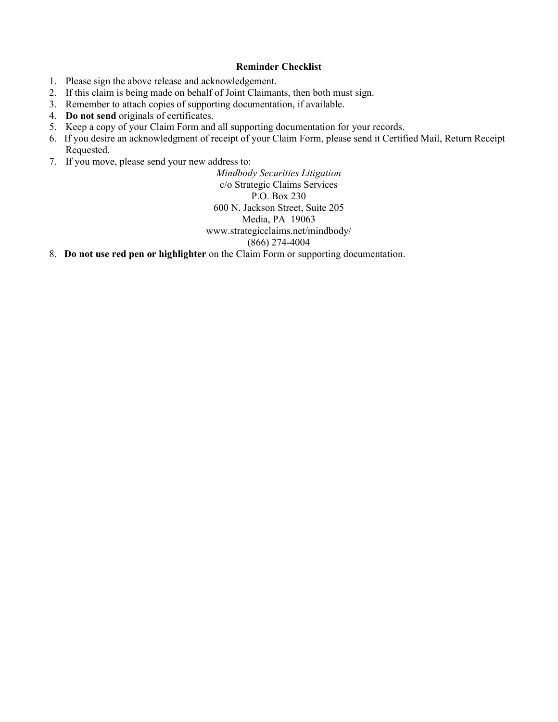# Reminder Checklist

- 1. Please sign the above release and acknowledgement.
- 2. If this claim is being made on behalf of Joint Claimants, then both must sign.
- 3. Remember to attach copies of supporting documentation, if available.
- 4. Do not send originals of certificates.
- 5. Keep a copy of your Claim Form and all supporting documentation for your records.
- 6. If you desire an acknowledgment of receipt of your Claim Form, please send it Certified Mail, Return Receipt Requested.
- 7. If you move, please send your new address to:

Mindbody Securities Litigation c/o Strategic Claims Services P.O. Box 230 600 N. Jackson Street, Suite 205 Media, PA 19063 www.strategicclaims.net/mindbody/ (866) 274-4004

8. Do not use red pen or highlighter on the Claim Form or supporting documentation.